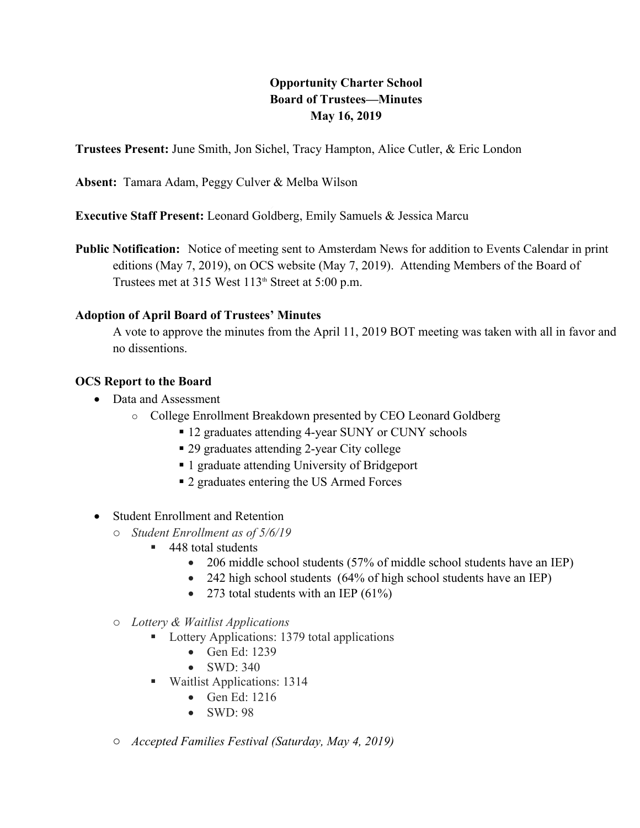# **Opportunity Charter School<br>
Board of Trustees—Minutes<br>
May 16, 2019<br>
hel, Tracy Hampton, Alice Cutler, & Eric L<br>
& Melba Wilson Board of Trustees—Minutes May 16, 2019**

**Trustees Present:** June Smith, Jon Sichel, Tracy Hampton, Alice Cutler, & Eric London

**Absent:** Tamara Adam, Peggy Culver & Melba Wilson

**Executive Staff Present:** Leonard Goldberg, Emily Samuels & Jessica Marcu

**Public Notification:** Notice of meeting sent to Amsterdam News for addition to Events Calendar in print editions (May 7, 2019), on OCS website (May 7, 2019). Attending Members of the Board of Trustees met at 315 West  $113<sup>th</sup>$  Street at 5:00 p.m.

#### **Adoption of April Board of Trustees' Minutes**

A vote to approve the minutes from the April 11, 2019 BOT meeting was taken with all in favor and no dissentions.

#### **OCS Report to the Board**

- Data and Assessment
	- o College Enrollment Breakdown presented by CEO Leonard Goldberg
		- 12 graduates attending 4-year SUNY or CUNY schools
		- 29 graduates attending 2-year City college
		- 1 graduate attending University of Bridgeport
		- 2 graduates entering the US Armed Forces
- Student Enrollment and Retention
	- o *Student Enrollment as of 5/6/19*
		- 448 total students
			- 206 middle school students (57% of middle school students have an IEP)
			- 242 high school students (64% of high school students have an IEP)
			- 273 total students with an IEP  $(61\%)$
	- o *Lottery & Waitlist Applications* 
		- **Lottery Applications: 1379 total applications** 
			- Gen Ed: 1239
			- SWD: 340
		- **Waitlist Applications: 1314** 
			- Gen Ed: 1216
			- SWD: 98
	- o *Accepted Families Festival (Saturday, May 4, 2019)*